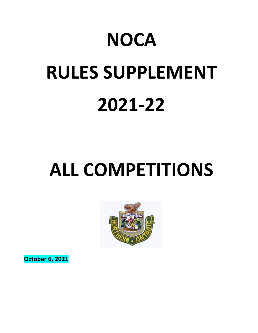# **NOCA RULES SUPPLEMENT 2021-22**

# **ALL COMPETITIONS**



**October 6, 2021**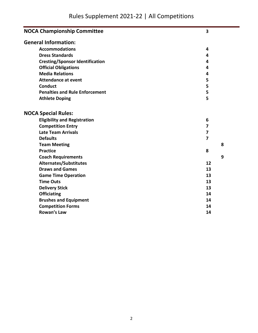| <b>NOCA Championship Committee</b>     |                         |   |  |
|----------------------------------------|-------------------------|---|--|
| <b>General Information:</b>            |                         |   |  |
| <b>Accommodations</b>                  | 4                       |   |  |
| <b>Dress Standards</b>                 | 4                       |   |  |
| <b>Cresting/Sponsor Identification</b> | 4                       |   |  |
| <b>Official Obligations</b>            | 4                       |   |  |
| <b>Media Relations</b>                 | 4                       |   |  |
| <b>Attendance at event</b>             | 5                       |   |  |
| <b>Conduct</b>                         | 5                       |   |  |
| <b>Penalties and Rule Enforcement</b>  | 5                       |   |  |
| <b>Athlete Doping</b>                  |                         |   |  |
|                                        |                         |   |  |
| <b>NOCA Special Rules:</b>             |                         |   |  |
| <b>Eligibility and Registration</b>    | 6                       |   |  |
| <b>Competition Entry</b>               | $\overline{\mathbf{z}}$ |   |  |
| <b>Late Team Arrivals</b>              | $\overline{7}$          |   |  |
| <b>Defaults</b>                        | 7                       |   |  |
| <b>Team Meeting</b>                    |                         | 8 |  |
| <b>Practice</b>                        | 8                       |   |  |
| <b>Coach Requirements</b>              |                         | 9 |  |
| <b>Alternates/Substitutes</b>          | 12                      |   |  |
| <b>Draws and Games</b>                 | 13                      |   |  |
| <b>Game Time Operation</b>             | 13                      |   |  |
| <b>Time Outs</b>                       | 13                      |   |  |
| <b>Delivery Stick</b>                  | 13                      |   |  |
| <b>Officiating</b>                     | 14                      |   |  |
| <b>Brushes and Equipment</b>           | 14                      |   |  |
| <b>Competition Forms</b>               | 14                      |   |  |
| <b>Rowan's Law</b>                     | 14                      |   |  |
|                                        |                         |   |  |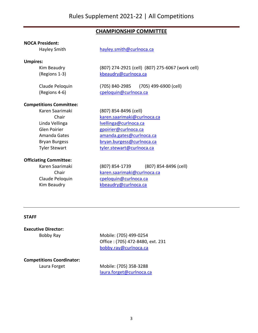# **CHAMPIONSHIP COMMITTEE**

#### **NOCA President:**

Hayley Smith [hayley.smith@curlnoca.ca](mailto:hayley.smith@curlnoca.ca)

#### **Umpires:**

Kim Beaudry (807) 274-2921 (cell) (807) 275-6067 (work cell)

(Regions 1-3) [kbeaudry@curlnoca.ca](mailto:kbeaudry@curlnoca.ca)

Claude Peloquin (705) 840-2985 (705) 499-6900 (cell) (Regions 4-6) [cpeloquin@curlnoca.ca](mailto:cpeloquin@curlnoca.ca)

#### **Competitions Committee:**

Karen Saarimaki (807) 854-8496 (cell) Chair karen.saarimaki@curlnoca.ca

#### **Officiating Committee:**

Linda Vellinga [lvellinga@curlnoca.ca](mailto:lvellinga@curlnoca.ca) Glen Poirier entering the george group of the george group of the george of the george group of the george group of the george group of the george group of the george group of the george group of the george group of the ge Amanda Gates [amanda.gates@curlnoca.ca](mailto:amanda.gates@curlnoca.ca) Bryan Burgess [bryan.burgess@curlnoca.ca](mailto:bryan.burgess@curlnoca.ca) Tyler Stewart [tyler.stewart@curlnoca.ca](mailto:tyler.stewart@curlnoca.ca)

Karen Saarimaki (807) 854-1739 (807) 854-8496 (cell) Chair [karen.saarimaki@curlnoca.ca](mailto:karen.saarimaki@curlnoca.ca) Claude Peloquin [cpeloquin@curlnoca.ca](mailto:cpeloquin@curlnoca.ca) Kim Beaudry **Kheaudry@curlnoca.ca** 

# **STAFF**

**Executive Director:**

Bobby Ray Mobile: (705) 499-0254 Office : (705) 472-8480, ext. 231 [bobby.ray@curlnoca.ca](mailto:bobby.ray@curlnoca.ca)

# **Competitions Coordinator:**

Laura Forget Mobile: (705) 358-3288 [laura.forget@curlnoca.ca](mailto:laura.forget@curlnoca.ca)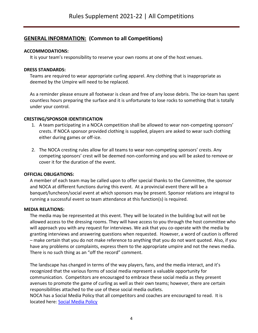# **GENERAL INFORMATION: (Common to all Competitions)**

# **ACCOMMODATIONS:**

It is your team's responsibility to reserve your own rooms at one of the host venues.

# **DRESS STANDARDS:**

Teams are required to wear appropriate curling apparel. Any clothing that is inappropriate as deemed by the Umpire will need to be replaced.

As a reminder please ensure all footwear is clean and free of any loose debris. The ice-team has spent countless hours preparing the surface and it is unfortunate to lose rocks to something that is totally under your control.

# **CRESTING/SPONSOR IDENTIFICATION**

- 1. A team participating in a NOCA competition shall be allowed to wear non-competing sponsors' crests. If NOCA sponsor provided clothing is supplied, players are asked to wear such clothing either during games or off-ice.
- 2. The NOCA cresting rules allow for all teams to wear non-competing sponsors' crests. Any competing sponsors' crest will be deemed non-conforming and you will be asked to remove or cover it for the duration of the event.

# **OFFICIAL OBLIGATIONS:**

A member of each team may be called upon to offer special thanks to the Committee, the sponsor and NOCA at different functions during this event. At a provincial event there will be a banquet/luncheon/social event at which sponsors may be present. Sponsor relations are integral to running a successful event so team attendance at this function(s) is required.

# **MEDIA RELATIONS:**

The media may be represented at this event. They will be located in the building but will not be allowed access to the dressing rooms. They will have access to you through the host committee who will approach you with any request for interviews. We ask that you co-operate with the media by granting interviews and answering questions when requested. However, a word of caution is offered – make certain that you do not make reference to anything that you do not want quoted. Also, if you have any problems or complaints, express them to the appropriate umpire and not the news media. There is no such thing as an "off the record" comment.

The landscape has changed in terms of the way players, fans, and the media interact, and it's recognized that the various forms of social media represent a valuable opportunity for communication. Competitors are encouraged to embrace these social media as they present avenues to promote the game of curling as well as their own teams; however, there are certain responsibilities attached to the use of these social media outlets.

NOCA has a Social Media Policy that all competitors and coaches are encouraged to read. It is located here: [Social Media Policy](https://drive.google.com/file/d/1xMzthSqO92FOOUc6xMVq8GyjdG4-Oqpv/view)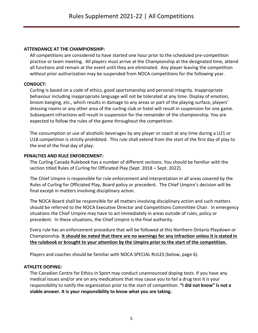# **ATTENDANCE AT THE CHAMPIONSHIP:**

All competitions are considered to have started one hour prior to the scheduled pre-competition practice or team meeting. All players must arrive at the Championship at the designated time, attend all functions and remain at the event until they are eliminated. Any player leaving the competition without prior authorization may be suspended from NOCA competitions for the following year.

# **CONDUCT:**

Curling is based on a code of ethics, good sportsmanship and personal integrity. Inappropriate behaviour including inappropriate language will not be tolerated at any time. Display of emotion, broom banging, etc., which results in damage to any areas or part of the playing surface, players' dressing rooms or any other area of the curling club or hotel will result in suspension for one game. Subsequent infractions will result in suspension for the remainder of the championship. You are expected to follow the rules of the game throughout the competition.

The consumption or use of alcoholic beverages by any player or coach at any time during a U21 or U18 competition is strictly prohibited. This rule shall extend from the start of the first day of play to the end of the final day of play.

# **PENALTIES AND RULE ENFORCEMENT:**

The Curling Canada Rulebook has a number of different sections. You should be familiar with the section titled Rules of Curling for Officiated Play (Sept. 2018 – Sept. 2022).

The Chief Umpire is responsible for rule enforcement and interpretation in all areas covered by the Rules of Curling for Officiated Play, Board policy or precedent. The Chief Umpire's decision will be final except in matters involving disciplinary action.

The NOCA Board shall be responsible for all matters involving disciplinary action and such matters should be referred to the NOCA Executive Director and Competitions Committee Chair. In emergency situations the Chief Umpire may have to act immediately in areas outside of rules, policy or precedent. In these situations, the Chief Umpire is the final authority.

Every rule has an enforcement procedure that will be followed at this Northern Ontario Playdown or Championship. **It should be noted that there are no warnings for any infraction unless it is stated in the rulebook or brought to your attention by the Umpire prior to the start of the competition.**

Players and coaches should be familiar with NOCA SPECIAL RULES (below, page 6).

# **ATHLETE DOPING:**

The Canadian Centre for Ethics in Sport may conduct unannounced doping tests. If you have any medical issues and/or are on any medications that may cause you to fail a drug test it is your responsibility to notify the organization prior to the start of competition. **"I did not know" is not a viable answer. It is your responsibility to know what you are taking.**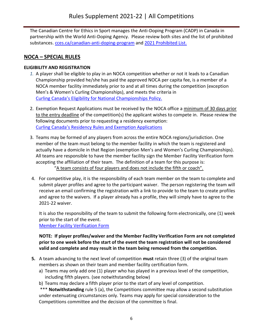The Canadian Centre for Ethics in Sport manages the Anti-Doping Program (CADP) in Canada in partnership with the World Anti-Doping Agency. Please review both sites and the list of prohibited substances. [cces.ca/canadian-anti-doping-program](https://cces.ca/canadian-anti-doping-program) and [2021 Prohibited List.](https://www.wada-ama.org/sites/default/files/resources/files/2021list_en.pdf)

# **NOCA – SPECIAL RULES**

# **ELIGIBILITY AND REGISTRATION**

- *1.* A player shall be eligible to play in an NOCA competition whether or not it leads to a Canadian Championship provided he/she has paid the approved NOCA per capita fee, is a member of a NOCA member facility immediately prior to and at all times during the competition (exception Men's & Women's Curling Championships), and meets the criteria in [Curling Canada's Eligibility for National Championships Policy.](https://www.curling.ca/team-canada/hp-athletes/policies-guidelines/residency-eligibility-requirements/)
- 2. Exemption Request Applications must be received by the NOCA office a minimum of 30 days prior to the entry deadline of the competition(s) the applicant wishes to compete in. Please review the following documents prior to requesting a residency exemption: [Curling Canada's Residency Rules and Exemption Applications](https://www.curling.ca/team-canada/hp-athletes/policies-guidelines/free-agent-registration/)
- 3. Teams may be formed of any players from across the entire NOCA regions/jurisdiction. One member of the team must belong to the member facility in which the team is registered and actually have a domicile in that Region (exemption Men's and Women's Curling Championships). All teams are responsible to have the member facility sign the Member Facility Verification form accepting the affiliation of their team. The definition of a team for this purpose is: "A team consists of four players and does not include the fifth or coach".
- 4. For competitive play, it is the responsibility of each team member on the team to complete and submit player profiles and agree to the participant waiver. The person registering the team will receive an email confirming the registration with a link to provide to the team to create profiles and agree to the waivers. If a player already has a profile, they will simply have to agree to the 2021-22 waiver.

It is also the responsibility of the team to submit the following form electronically, one (1) week prior to the start of the event. [Member Facility Verification Form](https://form.jotform.com/212588564651060) 

# **NOTE: If player profiles/waiver and the Member Facility Verification Form are not completed prior to one week before the start of the event the team registration will not be considered valid and complete and may result in the team being removed from the competition.**

- **5.** A team advancing to the next level of competition **must** retain three (3) of the original team members as shown on their team and member facility certification form.
	- a) Teams may only add one (1) player who has played in a previous level of the competition, including fifth players. (see notwithstanding below)
	- b) Teams may declare a fifth player prior to the start of any level of competition.

\*\*\* **Notwithstanding** rule 5 (a), the Competitions committee may allow a second substitution under extenuating circumstances only. Teams may apply for special consideration to the Competitions committee and the decision of the committee is final.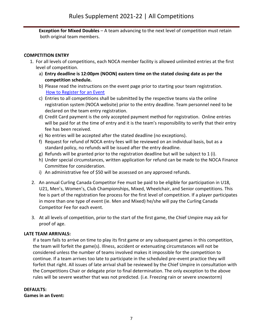**Exception for Mixed Doubles** – A team advancing to the next level of competition must retain both original team members.

# **COMPETITION ENTRY**

- 1. For all levels of competitions, each NOCA member facility is allowed unlimited entries at the first level of competition.
	- a) **Entry deadline is 12:00pm (NOON) eastern time on the stated closing date as per the competition schedule.**
	- b) Please read the instructions on the event page prior to starting your team registration. [How to Register for an Event](https://curlnoca.ca/wp-content/uploads/2019/11/How-to-Register-for-an-Event-091721.pdf)
	- c) Entries to all competitions shall be submitted by the respective teams via the online registration system (NOCA website) prior to the entry deadline. Team personnel need to be declared on the team entry registration.
	- d) Credit Card payment is the only accepted payment method for registration. Online entries will be paid for at the time of entry and it is the team's responsibility to verify that their entry fee has been received.
	- e) No entries will be accepted after the stated deadline (no exceptions).
	- f) Request for refund of NOCA entry fees will be reviewed on an individual basis, but as a standard policy, no refunds will be issued after the entry deadline.
	- g) Refunds will be granted prior to the registration deadline but will be subject to 1 (i).
	- h) Under special circumstances, written application for refund can be made to the NOCA Finance Committee for consideration.
	- i) An administrative fee of \$50 will be assessed on any approved refunds.
- 2. An annual Curling Canada Competitor Fee must be paid to be eligible for participation in U18, U21, Men's, Women's, Club Championships, Mixed, Wheelchair, and Senior competitions. This fee is part of the registration fee process for the first level of competition. If a player participates in more than one type of event (ie. Men and Mixed) he/she will pay the Curling Canada Competitor Fee for each event.
- 3. At all levels of competition, prior to the start of the first game, the Chief Umpire may ask for proof of age.

# **LATE TEAM ARRIVALS:**

If a team fails to arrive on time to play its first game or any subsequent games in this competition, the team will forfeit the game(s). Illness, accident or extenuating circumstances will not be considered unless the number of teams involved makes it impossible for the competition to continue. If a team arrives too late to participate in the scheduled pre-event practice they will forfeit that right. All issues of late arrival shall be reviewed by the Chief Umpire in consultation with the Competitions Chair or delegate prior to final determination. The only exception to the above rules will be severe weather that was not predicted. (i.e. Freezing rain or severe snowstorm)

#### **DEFAULTS: Games in an Event:**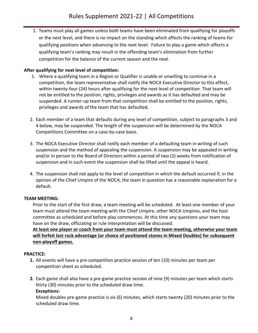1. Teams must play all games unless both teams have been eliminated from qualifying for playoffs or the next level, and there is no impact on the standing which affects the ranking of teams for qualifying positions when advancing to the next level. Failure to play a game which affects a qualifying team's ranking may result in the offending team's elimination from further competition for the balance of the current season and the next.

# **After qualifying for next level of competition:**

- 1. Where a qualifying team in a Region or Qualifier is unable or unwilling to continue in a competition, the team representative shall notify the NOCA Executive Director to this effect, within twenty-four (24) hours after qualifying for the next level of competition. That team will not be entitled to the position, rights, privileges and awards as it has defaulted and may be suspended. A runner-up team from that competition shall be entitled to the position, rights, privileges and awards of the team that has defaulted.
- 2. Each member of a team that defaults during any level of competition, subject to paragraphs 3 and 4 below, may be suspended. The length of the suspension will be determined by the NOCA Competitions Committee on a case-by-case basis.
- 3. The NOCA Executive Director shall notify each member of a defaulting team in writing of such suspension and the method of appealing the suspension. A suspension may be appealed in writing and/or in person to the Board of Directors within a period of two (2) weeks from notification of suspension and in such event the suspension shall be lifted until the appeal is heard.
- 4. The suspension shall not apply to the level of competition in which the default occurred if, in the opinion of the Chief Umpire of the NOCA, the team in question has a reasonable explanation for a default.

# **TEAM MEETING:**

Prior to the start of the first draw, a team meeting will be scheduled. At least one member of your team must attend the team meeting with the Chief Umpire, other NOCA Umpires, and the host committee as scheduled and before play commences. At this time any questions your team may have on the draw, officiating or rule interpretation will be discussed.

**At least one player or coach from your team must attend the team meeting, otherwise your team will forfeit last rock advantage (or choice of positioned stones in Mixed Doubles) for subsequent non-playoff games.**

# **PRACTICE:**

- **1.** All events will have a pre-competition practice session of ten (10) minutes per team per competition sheet as scheduled.
- **2.** Each game shall also have a pre-game practice session of nine (9) minutes per team which starts thirty (30) minutes prior to the scheduled draw time. **Exceptions:**

Mixed doubles pre-game practice is six (6) minutes, which starts twenty (20) minutes prior to the scheduled draw time.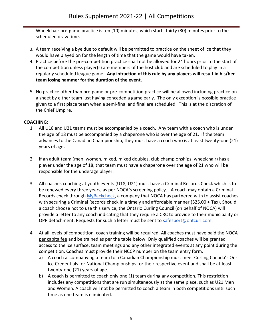Wheelchair pre-game practice is ten (10) minutes, which starts thirty (30) minutes prior to the scheduled draw time.

- 3. A team receiving a bye due to default will be permitted to practice on the sheet of ice that they would have played on for the length of time that the game would have taken.
- 4. Practice before the pre-competition practice shall not be allowed for 24 hours prior to the start of the competition unless player(s) are members of the host club and are scheduled to play in a regularly scheduled league game. **Any infraction of this rule by any players will result in his/her team losing hammer for the duration of the event.**
- 5. No practice other than pre-game or pre-competition practice will be allowed including practice on a sheet by either team just having conceded a game early. The only exception is possible practice given to a first place team when a semi-final and final are scheduled. This is at the discretion of the Chief Umpire.

# **COACHING:**

- 1. All U18 and U21 teams must be accompanied by a coach. Any team with a coach who is under the age of 18 must be accompanied by a chaperone who is over the age of 21. If the team advances to the Canadian Championship, they must have a coach who is at least twenty-one (21) years of age.
- 2. If an adult team (men, women, mixed, mixed doubles, club championships, wheelchair) has a player under the age of 18, that team must have a chaperone over the age of 21 who will be responsible for the underage player.
- 3. All coaches coaching at youth events (U18, U21) must have a Criminal Records Check which is to be renewed every three years, as per NOCA's screening policy.. A coach may obtain a Criminal Records check through [MyBackcheck,](https://pages.sterlingbackcheck.ca/landing-pages/c/cac-curling/) a company that NOCA has partnered with to assist coaches with securing a Criminal Records check in a timely and affordable manner (\$25.00 + Tax). Should a coach choose not to use this service, the Ontario Curling Council (on behalf of NOCA) will provide a letter to any coach indicating that they require a CRC to provide to their municipality or OPP detachment. Requests for such a letter must be sent to [safesport@ontcurl.com.](mailto:safesport@ontcurl.com)
- 4. At all levels of competition, coach training will be required. All coaches must have paid the NOCA per capita fee and be trained as per the table below. Only qualified coaches will be granted access to the ice surface, team meetings and any other integrated events at any point during the competition. Coaches must provide their NCCP number on the team entry form.
	- a) A coach accompanying a team to a Canadian Championship must meet Curling Canada's On-Ice Credentials for National Championships for their respective event and shall be at least twenty-one (21) years of age.
	- b) A coach is permitted to coach only one (1) team during any competition. This restriction includes any competitions that are run simultaneously at the same place, such as U21 Men and Women. A coach will not be permitted to coach a team in both competitions until such time as one team is eliminated.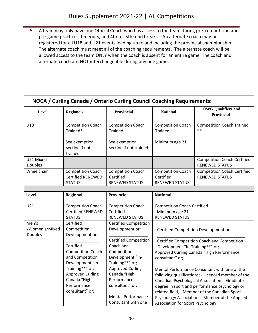5. A team may only have one Official Coach who has access to the team during pre-competition and pre-game practices, timeouts, and 4th (or 5th) end breaks. An alternate coach may be registered for all U18 and U21 events leading up to and including the provincial championship. The alternate coach must meet all of the coaching requirements. The alternate coach will be allowed access to the team ONLY when the coach is absent for an entire game. The coach and alternate coach are NOT interchangeable during any one game.

| NOCA / Curling Canada / Ontario Curling Council Coaching Requirements:                                                                                                                                                                       |                                                                       |                                                                                                                               |                                                                               |                                                                                                                                                                                                                                                                                                            |  |
|----------------------------------------------------------------------------------------------------------------------------------------------------------------------------------------------------------------------------------------------|-----------------------------------------------------------------------|-------------------------------------------------------------------------------------------------------------------------------|-------------------------------------------------------------------------------|------------------------------------------------------------------------------------------------------------------------------------------------------------------------------------------------------------------------------------------------------------------------------------------------------------|--|
| Level                                                                                                                                                                                                                                        | <b>Regionals</b>                                                      | <b>Provincial</b>                                                                                                             | <b>National</b>                                                               | <b>OWG</b> Qualifiers and<br><b>Provincial</b>                                                                                                                                                                                                                                                             |  |
| U18                                                                                                                                                                                                                                          | <b>Competition Coach</b><br>Trained*                                  | <b>Competition Coach</b><br><b>Trained</b>                                                                                    | <b>Competition Coach</b><br><b>Trained</b>                                    | <b>Competition Coach Trained</b><br>$***$                                                                                                                                                                                                                                                                  |  |
|                                                                                                                                                                                                                                              | See exemption<br>section if not<br>trained                            | See exemption<br>section if not trained                                                                                       | Minimum age 21                                                                |                                                                                                                                                                                                                                                                                                            |  |
| U21 Mixed<br><b>Doubles</b>                                                                                                                                                                                                                  |                                                                       |                                                                                                                               |                                                                               | <b>Competition Coach Certified</b><br><b>RENEWED STATUS</b>                                                                                                                                                                                                                                                |  |
| Wheelchair                                                                                                                                                                                                                                   | <b>Competition Coach</b><br><b>Certified RENEWED</b><br><b>STATUS</b> | <b>Competition Coach</b><br>Certified<br><b>RENEWED STATUS</b>                                                                | <b>Competition Coach</b><br>Certified<br><b>RENEWED STATUS</b>                | <b>Competition Coach Certified</b><br><b>RENEWED STATUS</b>                                                                                                                                                                                                                                                |  |
|                                                                                                                                                                                                                                              |                                                                       |                                                                                                                               |                                                                               |                                                                                                                                                                                                                                                                                                            |  |
| Level                                                                                                                                                                                                                                        | <b>Regional</b>                                                       | <b>Provincial</b>                                                                                                             | <b>National</b>                                                               |                                                                                                                                                                                                                                                                                                            |  |
| U21                                                                                                                                                                                                                                          | <b>Competition Coach</b><br><b>Certified RENEWED</b><br><b>STATUS</b> | <b>Competition Coach</b><br>Certified<br><b>RENEWED STATUS</b>                                                                | <b>Competition Coach Certified</b><br>Minimum age 21<br><b>RENEWED STATUS</b> |                                                                                                                                                                                                                                                                                                            |  |
| Men's<br>Certified<br>/Women's/Mixed<br>Competition<br><b>Doubles</b><br>Development or;<br>Certified<br>and Competition<br>Development "In-<br>Training**" or;<br><b>Approved Curling</b><br>Canada "High<br>Performance<br>consultant" or; |                                                                       | <b>Certified Competition</b><br>Development or;                                                                               |                                                                               | Certified Competition Development or;                                                                                                                                                                                                                                                                      |  |
|                                                                                                                                                                                                                                              | <b>Competition Coach</b>                                              | <b>Certified Competition</b><br>Coach and<br>Competition<br>Development "In-<br>Training**" or;                               | Development "In-Training**" or;<br>consultant" or;                            | Certified Competition Coach and Competition<br>Approved Curling Canada "High Performance                                                                                                                                                                                                                   |  |
|                                                                                                                                                                                                                                              |                                                                       | <b>Approved Curling</b><br>Canada "High<br>Performance<br>consultant" or;<br><b>Mental Performance</b><br>Consultant with one | Association for Sport Psychology,                                             | Mental Performance Consultant with one of the<br>following qualifications; - Licenced member of the<br>Canadian Psychological Association. - Graduate<br>degree in sport and performance psychology or<br>related field, - Member of the Canadian Sport<br>Psychology Association, - Member of the Applied |  |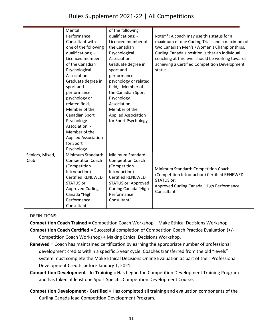# Rules Supplement 2021-22 | All Competitions

|                         | Mental<br>Performance<br>Consultant with<br>one of the following<br>qualifications; -<br>Licenced member<br>of the Canadian<br>Psychological<br>Association. -<br>Graduate degree in<br>sport and<br>performance<br>psychology or<br>related field, -<br>Member of the | of the following<br>qualifications; -<br>Licenced member of<br>the Canadian<br>Psychological<br>Association. -<br>Graduate degree in<br>sport and<br>performance<br>psychology or related<br>field, - Member of<br>the Canadian Sport<br>Psychology<br>Association, -<br>Member of the | Note**: A coach may use this status for a<br>maximum of one Curling Trials and a maximum of<br>two Canadian Men's /Women's Championships.<br>Curling Canada's position is that an individual<br>coaching at this level should be working towards<br>achieving a Certified Competition Development<br>status. |
|-------------------------|------------------------------------------------------------------------------------------------------------------------------------------------------------------------------------------------------------------------------------------------------------------------|----------------------------------------------------------------------------------------------------------------------------------------------------------------------------------------------------------------------------------------------------------------------------------------|--------------------------------------------------------------------------------------------------------------------------------------------------------------------------------------------------------------------------------------------------------------------------------------------------------------|
|                         | Canadian Sport<br>Psychology                                                                                                                                                                                                                                           | <b>Applied Association</b><br>for Sport Psychology                                                                                                                                                                                                                                     |                                                                                                                                                                                                                                                                                                              |
|                         | Association, -<br>Member of the<br><b>Applied Association</b><br>for Sport<br>Psychology                                                                                                                                                                               |                                                                                                                                                                                                                                                                                        |                                                                                                                                                                                                                                                                                                              |
| Seniors, Mixed,<br>Club | Minimum Standard:<br><b>Competition Coach</b><br>(Competition<br>Introduction)<br><b>Certified RENEWED</b><br>STATUS or;<br><b>Approved Curling</b><br>Canada "High<br>Performance<br>Consultant"                                                                      | Minimum Standard:<br><b>Competition Coach</b><br>(Competition<br>Introduction)<br><b>Certified RENEWED</b><br>STATUS or; Approved<br>Curling Canada "High<br>Performance<br>Consultant"                                                                                                | Minimum Standard: Competition Coach<br>(Competition Introduction) Certified RENEWED<br>STATUS or;<br>Approved Curling Canada "High Performance<br>Consultant"                                                                                                                                                |

# DEFINITIONS:

**Competition Coach Trained** = Competition Coach Workshop + Make Ethical Decisions Workshop

- **Competition Coach Certified** = Successful completion of Competition Coach Practice Evaluation (+/- Competition Coach Workshop) + Making Ethical Decisions Workshop.
- **Renewed** = Coach has maintained certification by earning the appropriate number of professional development credits within a specific 5 year cycle. Coaches transferred from the old "levels" system must complete the Make Ethical Decisions Online Evaluation as part of their Professional Development Credits before January 1, 2021.
- **Competition Development - In-Training** = Has begun the Competition Development Training Program and has taken at least one Sport Specific Competition Development Course.
- **Competition Development - Certified** = Has completed all training and evaluation components of the Curling Canada lead Competition Development Program.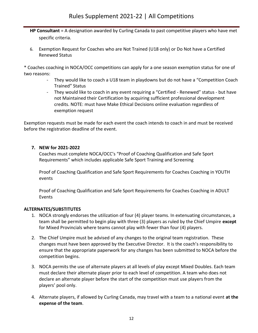- **HP Consultant** = A designation awarded by Curling Canada to past competitive players who have met specific criteria.
- 6. Exemption Request for Coaches who are Not Trained (U18 only) or Do Not have a Certified Renewed Status

\* Coaches coaching in NOCA/OCC competitions can apply for a one season exemption status for one of two reasons:

- They would like to coach a U18 team in playdowns but do not have a "Competition Coach Trained" Status
- They would like to coach in any event requiring a "Certified Renewed" status but have not Maintained their Certification by acquiring sufficient professional development credits. NOTE: must have Make Ethical Decisions online evaluation regardless of exemption request

Exemption requests must be made for each event the coach intends to coach in and must be received before the registration deadline of the event.

# **7. NEW for 2021-2022**

Coaches must complete NOCA/OCC's "Proof of Coaching Qualification and Safe Sport Requirements" which includes applicable Safe Sport Training and Screening

Proof of Coaching Qualification and Safe Sport Requirements for Coaches Coaching in YOUTH events

Proof of Coaching Qualification and Safe Sport Requirements for Coaches Coaching in ADULT Events

# **ALTERNATES/SUBSTITUTES**

- 1. NOCA strongly endorses the utilization of four (4) player teams. In extenuating circumstances, a team shall be permitted to begin play with three (3) players as ruled by the Chief Umpire **except** for Mixed Provincials where teams cannot play with fewer than four (4) players.
- 2. The Chief Umpire must be advised of any changes to the original team registration. These changes must have been approved by the Executive Director. It is the coach's responsibility to ensure that the appropriate paperwork for any changes has been submitted to NOCA before the competition begins.
- 3. NOCA permits the use of alternate players at all levels of play except Mixed Doubles. Each team must declare their alternate player prior to each level of competition. A team who does not declare an alternate player before the start of the competition must use players from the players' pool only.
- 4. Alternate players, if allowed by Curling Canada, may travel with a team to a national event **at the expense of the team**.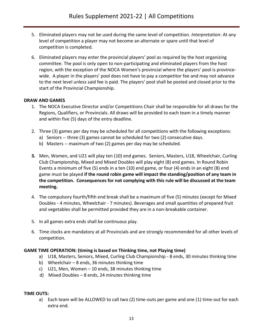- 5. Eliminated players may not be used during the same level of competition. *Interpretation*: At any level of competition a player may not become an alternate or spare until that level of competition is completed.
- 6. Eliminated players may enter the provincial players' pool as required by the host organizing committee. The pool is only open to non-participating and eliminated players from the host region, with the exception of the NOCA Women's provincial where the players' pool is provincewide. A player in the players' pool does not have to pay a competitor fee and may not advance to the next level unless said fee is paid. The players' pool shall be posted and closed prior to the start of the Provincial Championship.

# **DRAW AND GAMES**

- 1. The NOCA Executive Director and/or Competitions Chair shall be responsible for all draws for the Regions, Qualifiers, or Provincials. All draws will be provided to each team in a timely manner and within five (5) days of the entry deadline.
- 2. Three (3) games per day may be scheduled for all competitions with the following exceptions:
	- a) Seniors -- three (3) games cannot be scheduled for two (2) consecutive days.
	- b) Masters -- maximum of two (2) games per day may be scheduled.
- **3.** Men, Women, and U21 will play ten (10) end games. Seniors, Masters, U18, Wheelchair, Curling Club Championship, Mixed and Mixed Doubles will play eight (8) end games. In Round Robin Events a minimum of five (5) ends in a ten (10) end game, or four (4) ends in an eight (8) end game must be played **if the round robin game will impact the standing/position of any team in the competition. Consequences for not complying with this rule will be discussed at the team meeting.**
- 4. The compulsory fourth/fifth end break shall be a maximum of five (5) minutes (except for Mixed Doubles - 4 minutes, Wheelchair - 7 minutes). Beverages and small quantities of prepared fruit and vegetables shall be permitted provided they are in a non-breakable container.
- 5. In all games extra ends shall be continuous play.
- 6. Time clocks are mandatory at all Provincials and are strongly recommended for all other levels of competition.

# **GAME TIME OPERATION: (timing is based on Thinking time, not Playing time)**

- a) U18, Masters, Seniors, Mixed, Curling Club Championship 8 ends, 30 minutes thinking time
- b) Wheelchair 8 ends, 36 minutes thinking time
- c) U21, Men, Women 10 ends, 38 minutes thinking time
- d) Mixed Doubles 8 ends, 24 minutes thinking time

# **TIME OUTS:**

a) Each team will be ALLOWED to call two (2) time-outs per game and one (1) time-out for each extra end.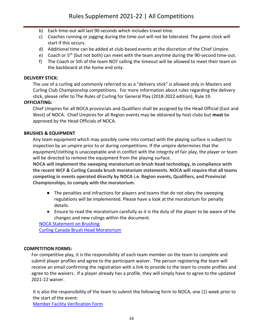- b) Each time-out will last 90 seconds which includes travel time.
- c) Coaches running or jogging during the time-out will not be tolerated. The game clock will start if this occurs.
- d) Additional time can be added at club-based events at the discretion of the Chief Umpire.
- e) Coach or  $5<sup>th</sup>$  (but not both) can meet with the team anytime during the 90-second time-out.
- f) The Coach or 5th of the team NOT calling the timeout will be allowed to meet their team on the backboard at the home end only.

# **DELIVERY STICK:**

The use of a curling aid commonly referred to as a "delivery stick" is allowed only in Masters and Curling Club Championship competitions. For more information about rules regarding the delivery stick, please refer to The Rules of Curling for General Play (2018-2022 edition), Rule 19.

# **OFFICIATING:**

Chief Umpires for all NOCA provincials and Qualifiers shall be assigned by the Head Official (East and West) of NOCA. Chief Umpires for all Region events may be obtained by host clubs but **must** be approved by the Head Officials of NOCA.

#### **BRUSHES & EQUIPMENT**

Any team equipment which may possibly come into contact with the playing surface is subject to inspection by an umpire prior to or during competitions. If the umpire determines that the equipment/clothing is unacceptable and in conflict with the integrity of fair play, the player or team will be directed to remove the equipment from the playing surface.

**NOCA will implement the sweeping moratorium on brush head technology, in compliance with the recent WCF & Curling Canada brush moratorium statements. NOCA will require that all teams competing in events operated directly by NOCA i.e. Region events, Qualifiers, and Provincial Championships, to comply with the moratorium.** 

- The penalties and infractions for players and teams that do not obey the sweeping regulations will be implemented. Please have a look at the moratorium for penalty details.
- Ensure to read the moratorium carefully as it is the duty of the player to be aware of the changes and new rulings within the document.

[NOCA Statement on Brushing](https://curlnoca.ca/wp-content/uploads/2018/10/Statement-on-Brushing-091721.pdf) [Curling Canada Brush Head Moratorium](https://www.curling.ca/team-canada/hp-athletes/policies-guidelines/brush-head-moratorium/)

#### **COMPETITION FORMS:**

For competitive play, it is the responsibility of each team member on the team to complete and submit player profiles and agree to the participant waiver. The person registering the team will receive an email confirming the registration with a link to provide to the team to create profiles and agree to the waivers. If a player already has a profile, they will simply have to agree to the updated 2021-22 waiver.

It is also the responsibility of the team to submit the following form to NOCA, one (1) week prior to the start of the event: [Member Facility Verification Form](https://form.jotform.com/212588564651060)